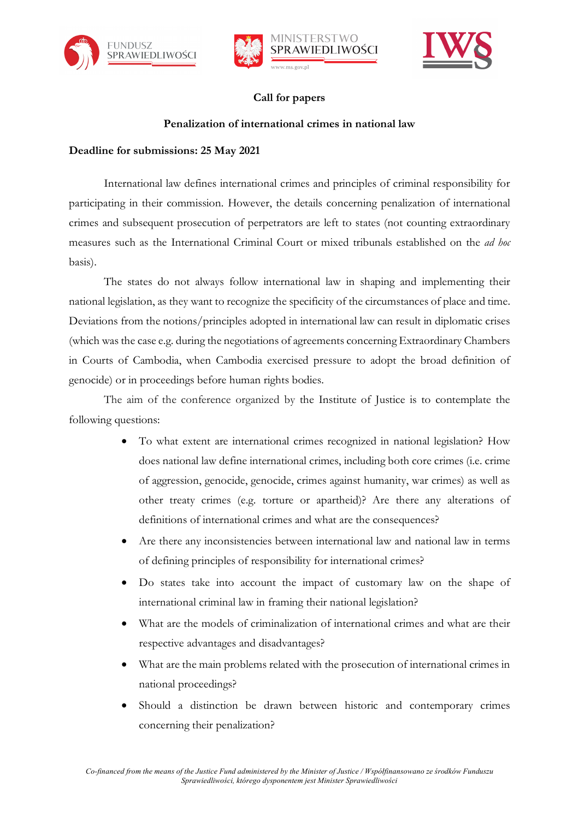







## **Call for papers**

### **Penalization of international crimes in national law**

### **Deadline for submissions: 25 May 2021**

International law defines international crimes and principles of criminal responsibility for participating in their commission. However, the details concerning penalization of international crimes and subsequent prosecution of perpetrators are left to states (not counting extraordinary measures such as the International Criminal Court or mixed tribunals established on the *ad hoc*  basis).

The states do not always follow international law in shaping and implementing their national legislation, as they want to recognize the specificity of the circumstances of place and time. Deviations from the notions/principles adopted in international law can result in diplomatic crises (which was the case e.g. during the negotiations of agreements concerning Extraordinary Chambers in Courts of Cambodia, when Cambodia exercised pressure to adopt the broad definition of genocide) or in proceedings before human rights bodies.

The aim of the conference organized by the Institute of Justice is to contemplate the following questions:

- To what extent are international crimes recognized in national legislation? How does national law define international crimes, including both core crimes (i.e. crime of aggression, genocide, genocide, crimes against humanity, war crimes) as well as other treaty crimes (e.g. torture or apartheid)? Are there any alterations of definitions of international crimes and what are the consequences?
- Are there any inconsistencies between international law and national law in terms of defining principles of responsibility for international crimes?
- Do states take into account the impact of customary law on the shape of international criminal law in framing their national legislation?
- What are the models of criminalization of international crimes and what are their respective advantages and disadvantages?
- What are the main problems related with the prosecution of international crimes in national proceedings?
- Should a distinction be drawn between historic and contemporary crimes concerning their penalization?